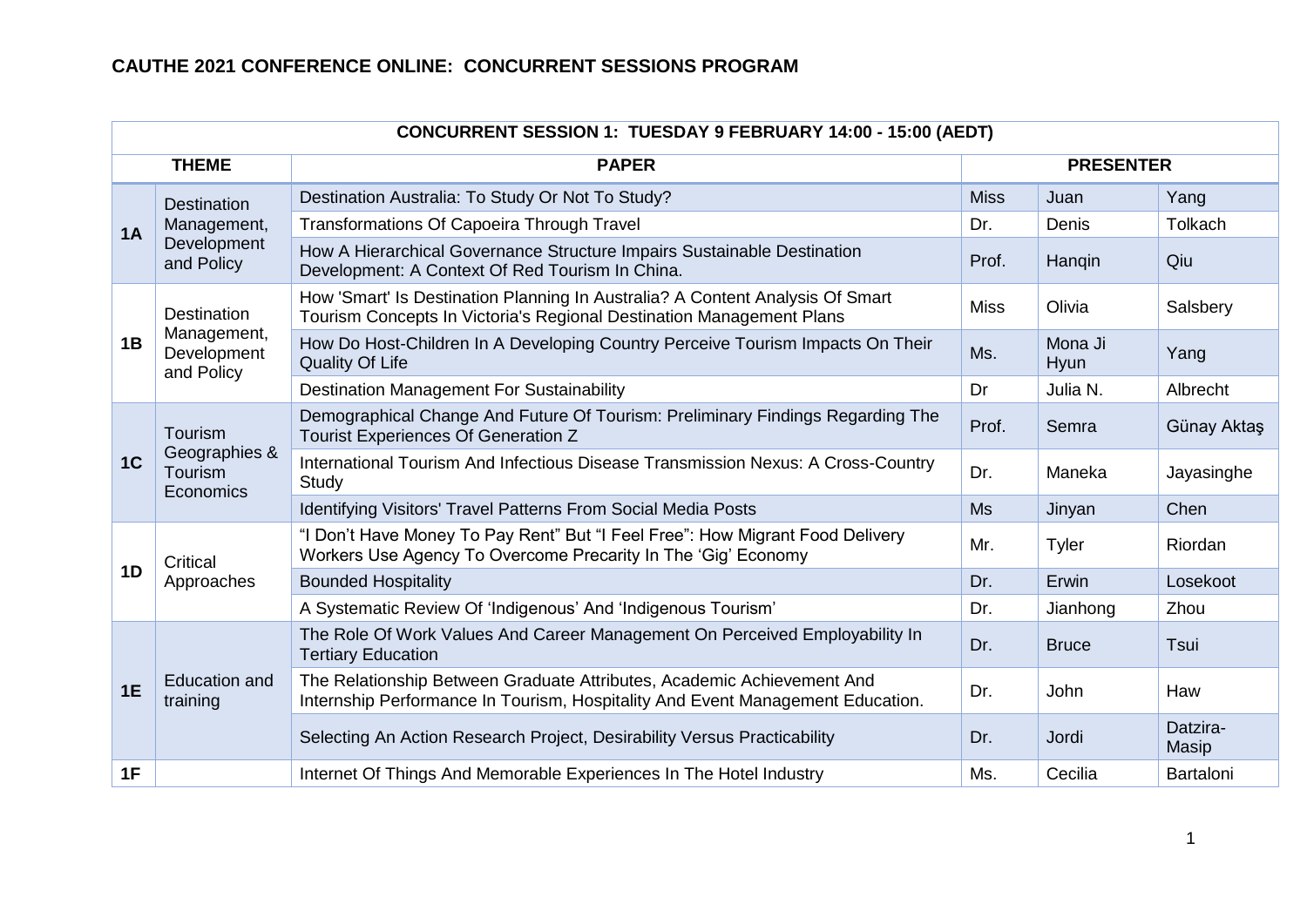|                | CONCURRENT SESSION 1: TUESDAY 9 FEBRUARY 14:00 - 15:00 (AEDT) |                                                                                                                                                          |             |                  |                   |  |  |  |
|----------------|---------------------------------------------------------------|----------------------------------------------------------------------------------------------------------------------------------------------------------|-------------|------------------|-------------------|--|--|--|
|                | <b>THEME</b>                                                  | <b>PAPER</b>                                                                                                                                             |             | <b>PRESENTER</b> |                   |  |  |  |
|                | <b>Destination</b>                                            | Destination Australia: To Study Or Not To Study?                                                                                                         | <b>Miss</b> | Juan             | Yang              |  |  |  |
| 1A             | Management,                                                   | <b>Transformations Of Capoeira Through Travel</b>                                                                                                        | Dr.         | Denis            | Tolkach           |  |  |  |
|                | Development<br>and Policy                                     | How A Hierarchical Governance Structure Impairs Sustainable Destination<br>Development: A Context Of Red Tourism In China.                               | Prof.       | Hangin           | Qiu               |  |  |  |
|                | <b>Destination</b>                                            | How 'Smart' Is Destination Planning In Australia? A Content Analysis Of Smart<br>Tourism Concepts In Victoria's Regional Destination Management Plans    | <b>Miss</b> | Olivia           | Salsbery          |  |  |  |
| 1B             | Management,<br>Development<br>and Policy                      | How Do Host-Children In A Developing Country Perceive Tourism Impacts On Their<br><b>Quality Of Life</b>                                                 | Ms.         | Mona Ji<br>Hyun  | Yang              |  |  |  |
|                |                                                               | <b>Destination Management For Sustainability</b>                                                                                                         | Dr          | Julia N.         | Albrecht          |  |  |  |
|                | Tourism<br>Geographies &<br>Tourism<br>Economics              | Demographical Change And Future Of Tourism: Preliminary Findings Regarding The<br>Tourist Experiences Of Generation Z                                    | Prof.       | Semra            | Günay Aktaş       |  |  |  |
| 1 <sup>C</sup> |                                                               | International Tourism And Infectious Disease Transmission Nexus: A Cross-Country<br>Study                                                                | Dr.         | Maneka           | Jayasinghe        |  |  |  |
|                |                                                               | Identifying Visitors' Travel Patterns From Social Media Posts                                                                                            | <b>Ms</b>   | Jinyan           | Chen              |  |  |  |
|                | Critical                                                      | "I Don't Have Money To Pay Rent" But "I Feel Free": How Migrant Food Delivery<br>Workers Use Agency To Overcome Precarity In The 'Gig' Economy           | Mr.         | Tyler            | Riordan           |  |  |  |
| 1D             | Approaches                                                    | <b>Bounded Hospitality</b>                                                                                                                               | Dr.         | Erwin            | Losekoot          |  |  |  |
|                |                                                               | A Systematic Review Of 'Indigenous' And 'Indigenous Tourism'                                                                                             | Dr.         | Jianhong         | Zhou              |  |  |  |
|                |                                                               | The Role Of Work Values And Career Management On Perceived Employability In<br><b>Tertiary Education</b>                                                 | Dr.         | <b>Bruce</b>     | Tsui              |  |  |  |
| 1E             | Education and<br>training                                     | The Relationship Between Graduate Attributes, Academic Achievement And<br>Internship Performance In Tourism, Hospitality And Event Management Education. | Dr.         | John             | Haw               |  |  |  |
|                |                                                               | Selecting An Action Research Project, Desirability Versus Practicability                                                                                 | Dr.         | Jordi            | Datzira-<br>Masip |  |  |  |
| 1F             |                                                               | Internet Of Things And Memorable Experiences In The Hotel Industry                                                                                       | Ms.         | Cecilia          | Bartaloni         |  |  |  |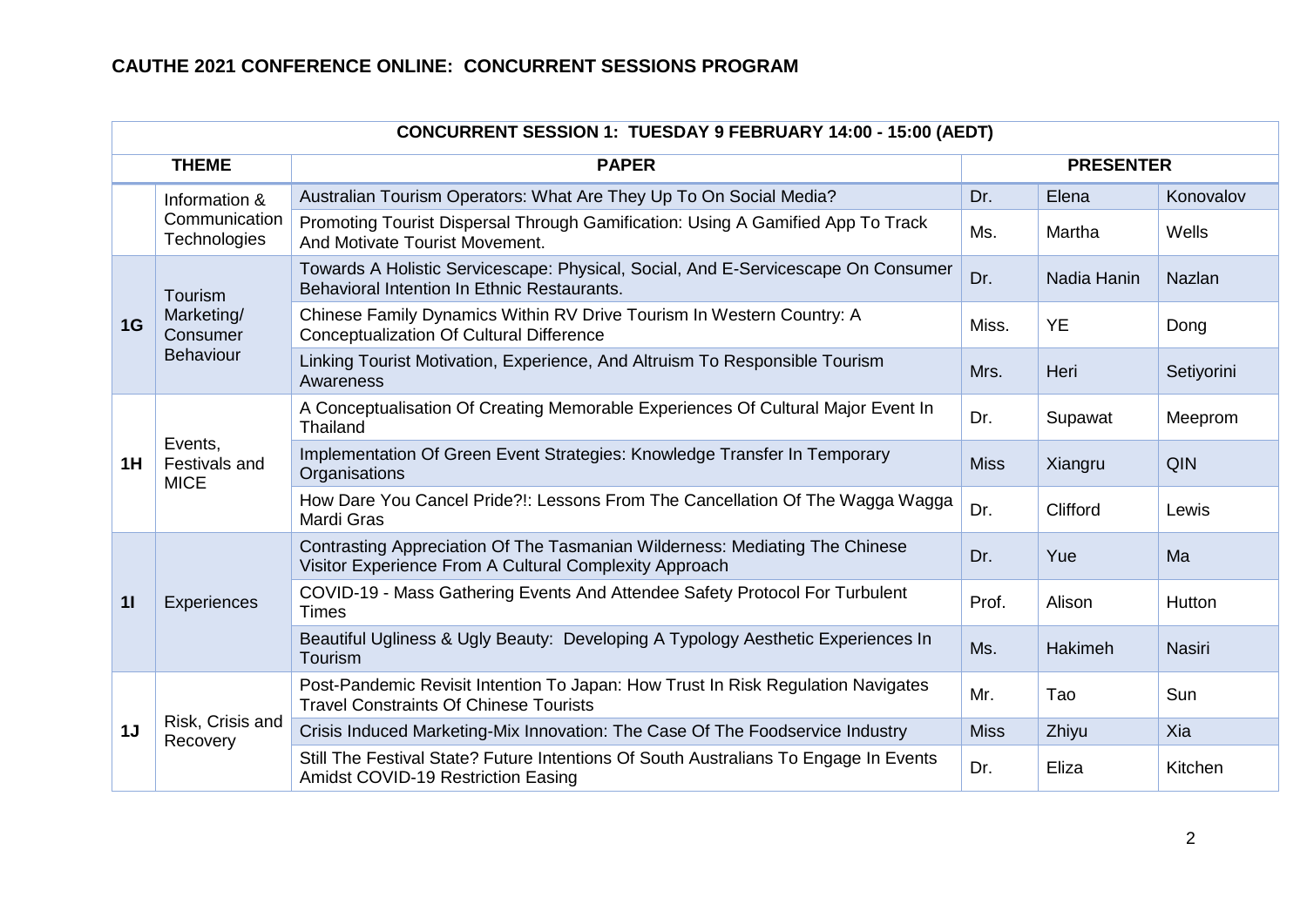| <b>CONCURRENT SESSION 1: TUESDAY 9 FEBRUARY 14:00 - 15:00 (AEDT)</b> |                                            |                                                                                                                                       |                  |             |               |  |  |
|----------------------------------------------------------------------|--------------------------------------------|---------------------------------------------------------------------------------------------------------------------------------------|------------------|-------------|---------------|--|--|
|                                                                      | <b>THEME</b>                               | <b>PAPER</b>                                                                                                                          | <b>PRESENTER</b> |             |               |  |  |
|                                                                      | Information &                              | Australian Tourism Operators: What Are They Up To On Social Media?                                                                    | Dr.              | Elena       | Konovalov     |  |  |
|                                                                      | Communication<br>Technologies              | Promoting Tourist Dispersal Through Gamification: Using A Gamified App To Track<br>And Motivate Tourist Movement.                     | Ms.              | Martha      | Wells         |  |  |
|                                                                      | Tourism                                    | Towards A Holistic Servicescape: Physical, Social, And E-Servicescape On Consumer<br>Behavioral Intention In Ethnic Restaurants.      | Dr.              | Nadia Hanin | <b>Nazlan</b> |  |  |
| 1G                                                                   | Marketing/<br>Consumer<br><b>Behaviour</b> | Chinese Family Dynamics Within RV Drive Tourism In Western Country: A<br><b>Conceptualization Of Cultural Difference</b>              | Miss.            | <b>YE</b>   | Dong          |  |  |
|                                                                      |                                            | Linking Tourist Motivation, Experience, And Altruism To Responsible Tourism<br>Awareness                                              | Mrs.             | Heri        | Setiyorini    |  |  |
| 1H                                                                   | Events,<br>Festivals and<br><b>MICE</b>    | A Conceptualisation Of Creating Memorable Experiences Of Cultural Major Event In<br>Thailand                                          | Dr.              | Supawat     | Meeprom       |  |  |
|                                                                      |                                            | Implementation Of Green Event Strategies: Knowledge Transfer In Temporary<br>Organisations                                            | <b>Miss</b>      | Xiangru     | QIN           |  |  |
|                                                                      |                                            | How Dare You Cancel Pride?!: Lessons From The Cancellation Of The Wagga Wagga<br>Mardi Gras                                           | Dr.              | Clifford    | Lewis         |  |  |
|                                                                      |                                            | Contrasting Appreciation Of The Tasmanian Wilderness: Mediating The Chinese<br>Visitor Experience From A Cultural Complexity Approach | Dr.              | Yue         | Ma            |  |  |
| 11                                                                   | Experiences                                | COVID-19 - Mass Gathering Events And Attendee Safety Protocol For Turbulent<br><b>Times</b>                                           | Prof.            | Alison      | Hutton        |  |  |
|                                                                      |                                            | Beautiful Ugliness & Ugly Beauty: Developing A Typology Aesthetic Experiences In<br>Tourism                                           | Ms.              | Hakimeh     | <b>Nasiri</b> |  |  |
|                                                                      |                                            | Post-Pandemic Revisit Intention To Japan: How Trust In Risk Regulation Navigates<br><b>Travel Constraints Of Chinese Tourists</b>     | Mr.              | Tao         | Sun           |  |  |
| 1J                                                                   | Risk, Crisis and<br>Recovery               | Crisis Induced Marketing-Mix Innovation: The Case Of The Foodservice Industry                                                         | <b>Miss</b>      | Zhiyu       | Xia           |  |  |
|                                                                      |                                            | Still The Festival State? Future Intentions Of South Australians To Engage In Events<br>Amidst COVID-19 Restriction Easing            | Dr.              | Eliza       | Kitchen       |  |  |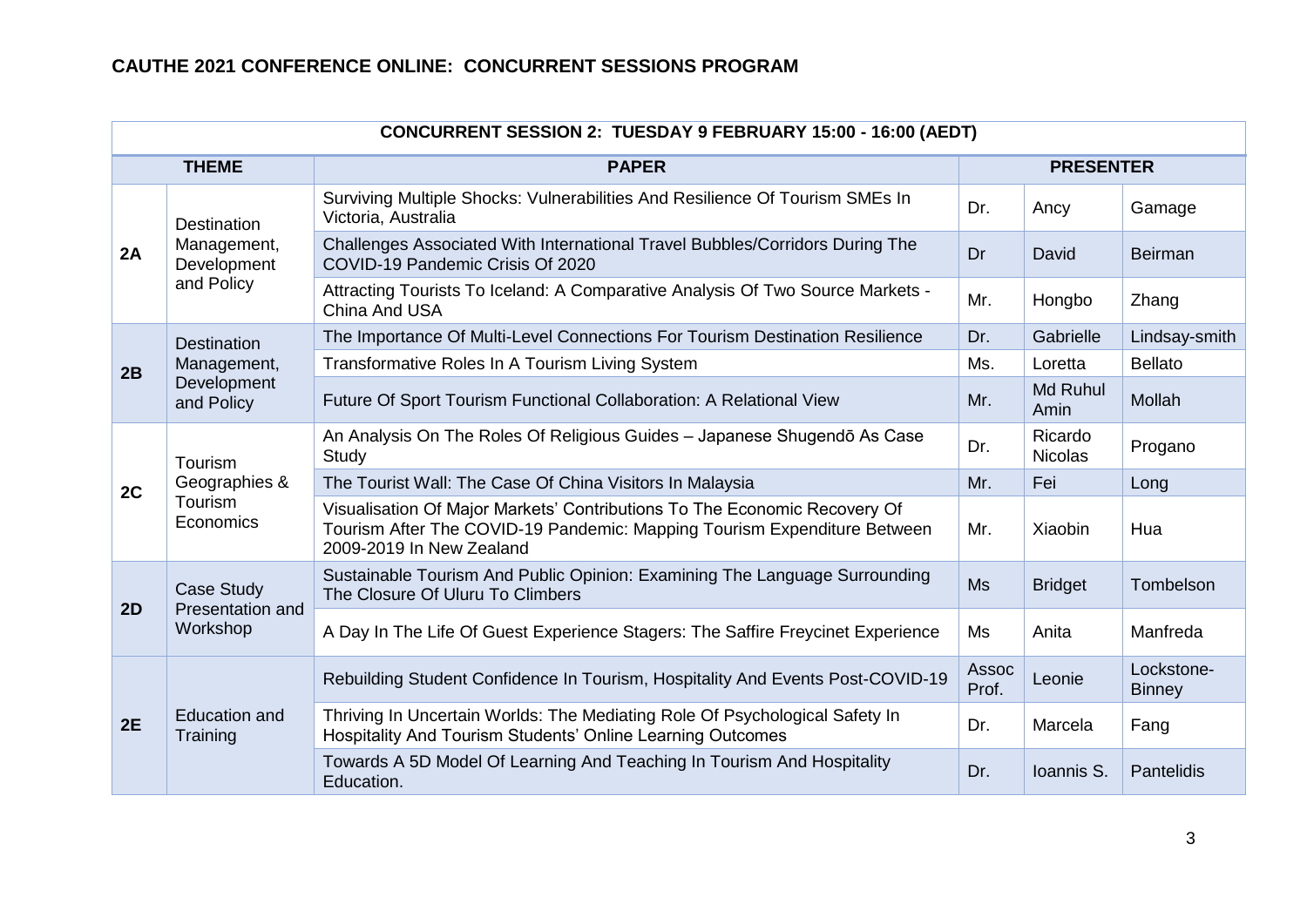| CONCURRENT SESSION 2: TUESDAY 9 FEBRUARY 15:00 - 16:00 (AEDT) |                                  |                                                                                                                                                                                   |                  |                           |                             |  |  |
|---------------------------------------------------------------|----------------------------------|-----------------------------------------------------------------------------------------------------------------------------------------------------------------------------------|------------------|---------------------------|-----------------------------|--|--|
|                                                               | <b>THEME</b>                     | <b>PAPER</b>                                                                                                                                                                      | <b>PRESENTER</b> |                           |                             |  |  |
|                                                               | Destination                      | Surviving Multiple Shocks: Vulnerabilities And Resilience Of Tourism SMEs In<br>Victoria, Australia                                                                               | Dr.              | Ancy                      | Gamage                      |  |  |
| 2A                                                            | Management,<br>Development       | Challenges Associated With International Travel Bubbles/Corridors During The<br>COVID-19 Pandemic Crisis Of 2020                                                                  | Dr               | David                     | <b>Beirman</b>              |  |  |
|                                                               | and Policy                       | Attracting Tourists To Iceland: A Comparative Analysis Of Two Source Markets -<br>China And USA                                                                                   | Mr.              | Hongbo                    | Zhang                       |  |  |
|                                                               | <b>Destination</b>               | The Importance Of Multi-Level Connections For Tourism Destination Resilience                                                                                                      | Dr.              | Gabrielle                 | Lindsay-smith               |  |  |
| 2B                                                            | Management,                      | Transformative Roles In A Tourism Living System                                                                                                                                   | Ms.              | Loretta                   | <b>Bellato</b>              |  |  |
|                                                               | Development<br>and Policy        | Future Of Sport Tourism Functional Collaboration: A Relational View                                                                                                               | Mr.              | Md Ruhul<br>Amin          | Mollah                      |  |  |
|                                                               | <b>Tourism</b>                   | An Analysis On The Roles Of Religious Guides - Japanese Shugendō As Case<br>Study                                                                                                 | Dr.              | Ricardo<br><b>Nicolas</b> | Progano                     |  |  |
| 2C                                                            | Geographies &                    | The Tourist Wall: The Case Of China Visitors In Malaysia                                                                                                                          | Mr.              | Fei                       | Long                        |  |  |
|                                                               | Tourism<br>Economics             | Visualisation Of Major Markets' Contributions To The Economic Recovery Of<br>Tourism After The COVID-19 Pandemic: Mapping Tourism Expenditure Between<br>2009-2019 In New Zealand | Mr.              | Xiaobin                   | Hua                         |  |  |
| 2D                                                            | Case Study<br>Presentation and   | Sustainable Tourism And Public Opinion: Examining The Language Surrounding<br>The Closure Of Uluru To Climbers                                                                    | <b>Ms</b>        | <b>Bridget</b>            | Tombelson                   |  |  |
|                                                               | Workshop                         | A Day In The Life Of Guest Experience Stagers: The Saffire Freycinet Experience                                                                                                   | Ms               | Anita                     | Manfreda                    |  |  |
|                                                               |                                  | Rebuilding Student Confidence In Tourism, Hospitality And Events Post-COVID-19                                                                                                    | Assoc<br>Prof.   | Leonie                    | Lockstone-<br><b>Binney</b> |  |  |
| 2E                                                            | <b>Education and</b><br>Training | Thriving In Uncertain Worlds: The Mediating Role Of Psychological Safety In<br>Hospitality And Tourism Students' Online Learning Outcomes                                         | Dr.              | Marcela                   | Fang                        |  |  |
|                                                               |                                  | Towards A 5D Model Of Learning And Teaching In Tourism And Hospitality<br>Education.                                                                                              | Dr.              | Ioannis S.                | Pantelidis                  |  |  |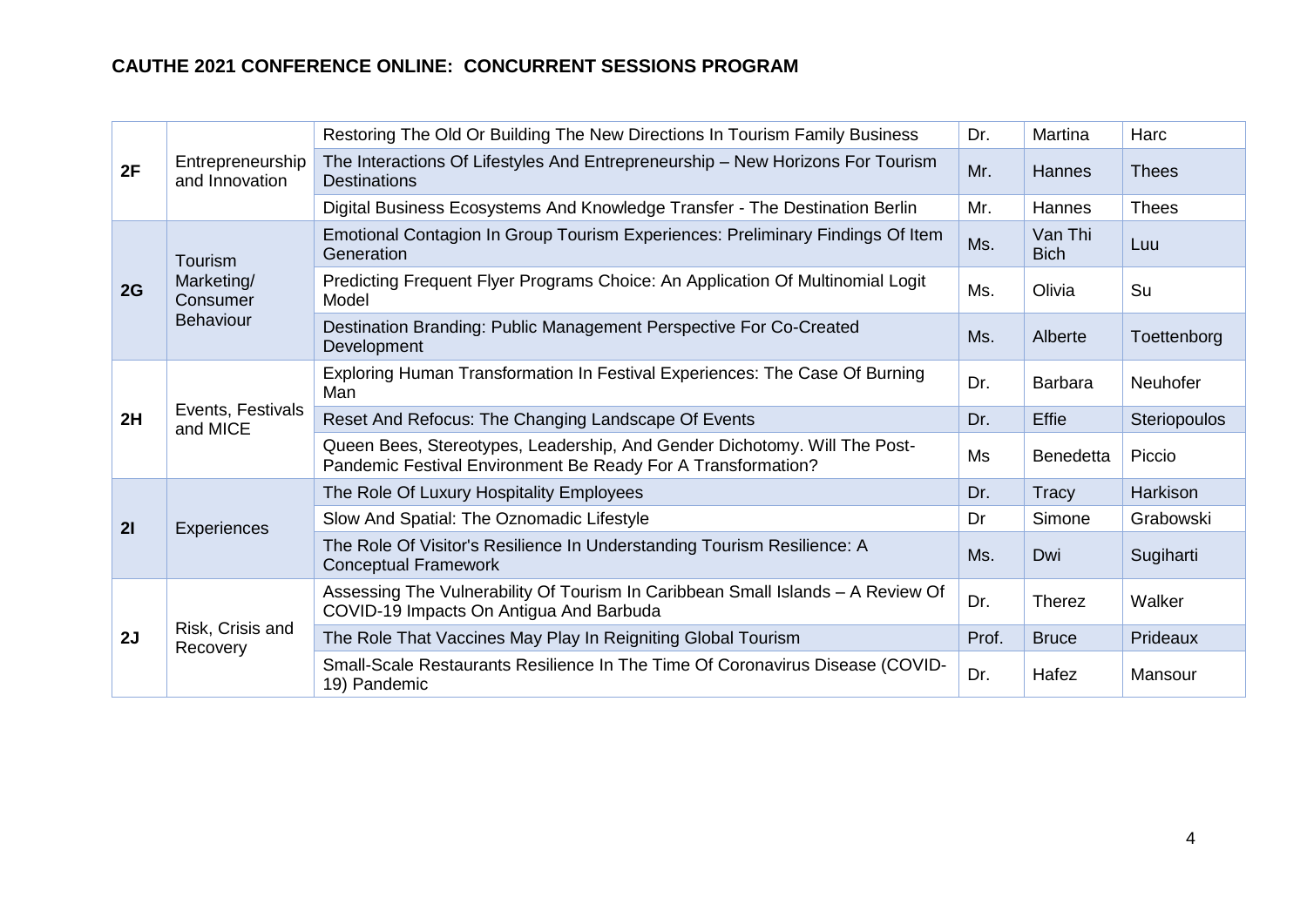|    |                                            | Restoring The Old Or Building The New Directions In Tourism Family Business                                                               | Dr.   | Martina                | Harc            |
|----|--------------------------------------------|-------------------------------------------------------------------------------------------------------------------------------------------|-------|------------------------|-----------------|
| 2F | Entrepreneurship<br>and Innovation         | The Interactions Of Lifestyles And Entrepreneurship - New Horizons For Tourism<br><b>Destinations</b>                                     | Mr.   | Hannes                 | <b>Thees</b>    |
|    |                                            | Digital Business Ecosystems And Knowledge Transfer - The Destination Berlin                                                               | Mr.   | <b>Hannes</b>          | <b>Thees</b>    |
|    | Tourism                                    | Emotional Contagion In Group Tourism Experiences: Preliminary Findings Of Item<br>Generation                                              | Ms.   | Van Thi<br><b>Bich</b> | Luu             |
| 2G | Marketing/<br>Consumer<br><b>Behaviour</b> | Predicting Frequent Flyer Programs Choice: An Application Of Multinomial Logit<br>Model                                                   | Ms.   | Olivia                 | Su              |
|    |                                            | Destination Branding: Public Management Perspective For Co-Created<br>Development                                                         | Ms.   | Alberte                | Toettenborg     |
|    | Events, Festivals<br>and MICE              | Exploring Human Transformation In Festival Experiences: The Case Of Burning<br>Man                                                        | Dr.   | Barbara                | <b>Neuhofer</b> |
| 2H |                                            | Reset And Refocus: The Changing Landscape Of Events                                                                                       | Dr.   | <b>Effie</b>           | Steriopoulos    |
|    |                                            | Queen Bees, Stereotypes, Leadership, And Gender Dichotomy. Will The Post-<br>Pandemic Festival Environment Be Ready For A Transformation? | Ms    | <b>Benedetta</b>       | Piccio          |
|    |                                            | The Role Of Luxury Hospitality Employees                                                                                                  | Dr.   | Tracy                  | Harkison        |
| 21 | Experiences                                | Slow And Spatial: The Oznomadic Lifestyle                                                                                                 | Dr    | Simone                 | Grabowski       |
|    |                                            | The Role Of Visitor's Resilience In Understanding Tourism Resilience: A<br><b>Conceptual Framework</b>                                    | Ms.   | Dwi                    | Sugiharti       |
|    |                                            | Assessing The Vulnerability Of Tourism In Caribbean Small Islands - A Review Of<br>COVID-19 Impacts On Antigua And Barbuda                | Dr.   | <b>Therez</b>          | Walker          |
| 2J | Risk, Crisis and<br>Recovery               | The Role That Vaccines May Play In Reigniting Global Tourism                                                                              | Prof. | <b>Bruce</b>           | Prideaux        |
|    |                                            | Small-Scale Restaurants Resilience In The Time Of Coronavirus Disease (COVID-<br>19) Pandemic                                             | Dr.   | Hafez                  | Mansour         |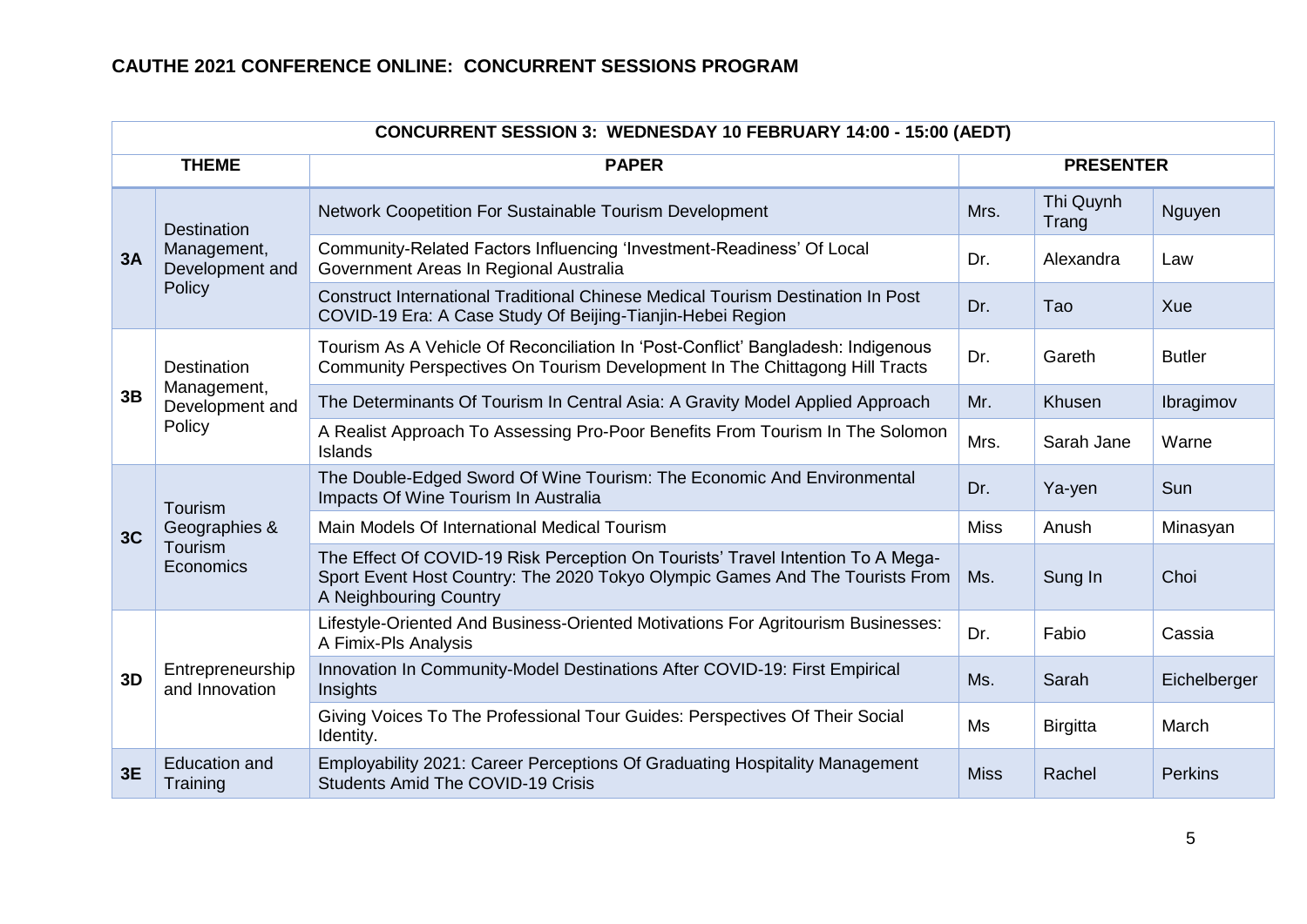|    | CONCURRENT SESSION 3: WEDNESDAY 10 FEBRUARY 14:00 - 15:00 (AEDT) |                                                                                                                                                                                           |                  |                    |                |  |  |  |
|----|------------------------------------------------------------------|-------------------------------------------------------------------------------------------------------------------------------------------------------------------------------------------|------------------|--------------------|----------------|--|--|--|
|    | <b>THEME</b>                                                     | <b>PAPER</b>                                                                                                                                                                              | <b>PRESENTER</b> |                    |                |  |  |  |
|    | <b>Destination</b>                                               | Network Coopetition For Sustainable Tourism Development                                                                                                                                   | Mrs.             | Thi Quynh<br>Trang | Nguyen         |  |  |  |
| 3A | Management,<br>Development and                                   | Community-Related Factors Influencing 'Investment-Readiness' Of Local<br>Government Areas In Regional Australia                                                                           | Dr.              | Alexandra          | Law            |  |  |  |
|    | Policy                                                           | Construct International Traditional Chinese Medical Tourism Destination In Post<br>COVID-19 Era: A Case Study Of Beijing-Tianjin-Hebei Region                                             | Dr.              | Tao                | Xue            |  |  |  |
| 3B | <b>Destination</b>                                               | Tourism As A Vehicle Of Reconciliation In 'Post-Conflict' Bangladesh: Indigenous<br>Community Perspectives On Tourism Development In The Chittagong Hill Tracts                           | Dr.              | Gareth             | <b>Butler</b>  |  |  |  |
|    | Management,<br>Development and<br>Policy                         | The Determinants Of Tourism In Central Asia: A Gravity Model Applied Approach                                                                                                             | Mr.              | Khusen             | Ibragimov      |  |  |  |
|    |                                                                  | A Realist Approach To Assessing Pro-Poor Benefits From Tourism In The Solomon<br>Islands                                                                                                  | Mrs.             | Sarah Jane         | Warne          |  |  |  |
|    | Tourism                                                          | The Double-Edged Sword Of Wine Tourism: The Economic And Environmental<br>Impacts Of Wine Tourism In Australia                                                                            | Dr.              | Ya-yen             | Sun            |  |  |  |
| 3C | Geographies &                                                    | Main Models Of International Medical Tourism                                                                                                                                              | <b>Miss</b>      | Anush              | Minasyan       |  |  |  |
|    | Tourism<br>Economics                                             | The Effect Of COVID-19 Risk Perception On Tourists' Travel Intention To A Mega-<br>Sport Event Host Country: The 2020 Tokyo Olympic Games And The Tourists From<br>A Neighbouring Country | Ms.              | Sung In            | Choi           |  |  |  |
|    |                                                                  | Lifestyle-Oriented And Business-Oriented Motivations For Agritourism Businesses:<br>A Fimix-Pls Analysis                                                                                  | Dr.              | Fabio              | Cassia         |  |  |  |
| 3D | Entrepreneurship<br>and Innovation                               | Innovation In Community-Model Destinations After COVID-19: First Empirical<br>Insights                                                                                                    | Ms.              | Sarah              | Eichelberger   |  |  |  |
|    |                                                                  | Giving Voices To The Professional Tour Guides: Perspectives Of Their Social<br>Identity.                                                                                                  | Ms               | <b>Birgitta</b>    | March          |  |  |  |
| 3E | <b>Education and</b><br>Training                                 | Employability 2021: Career Perceptions Of Graduating Hospitality Management<br><b>Students Amid The COVID-19 Crisis</b>                                                                   | <b>Miss</b>      | Rachel             | <b>Perkins</b> |  |  |  |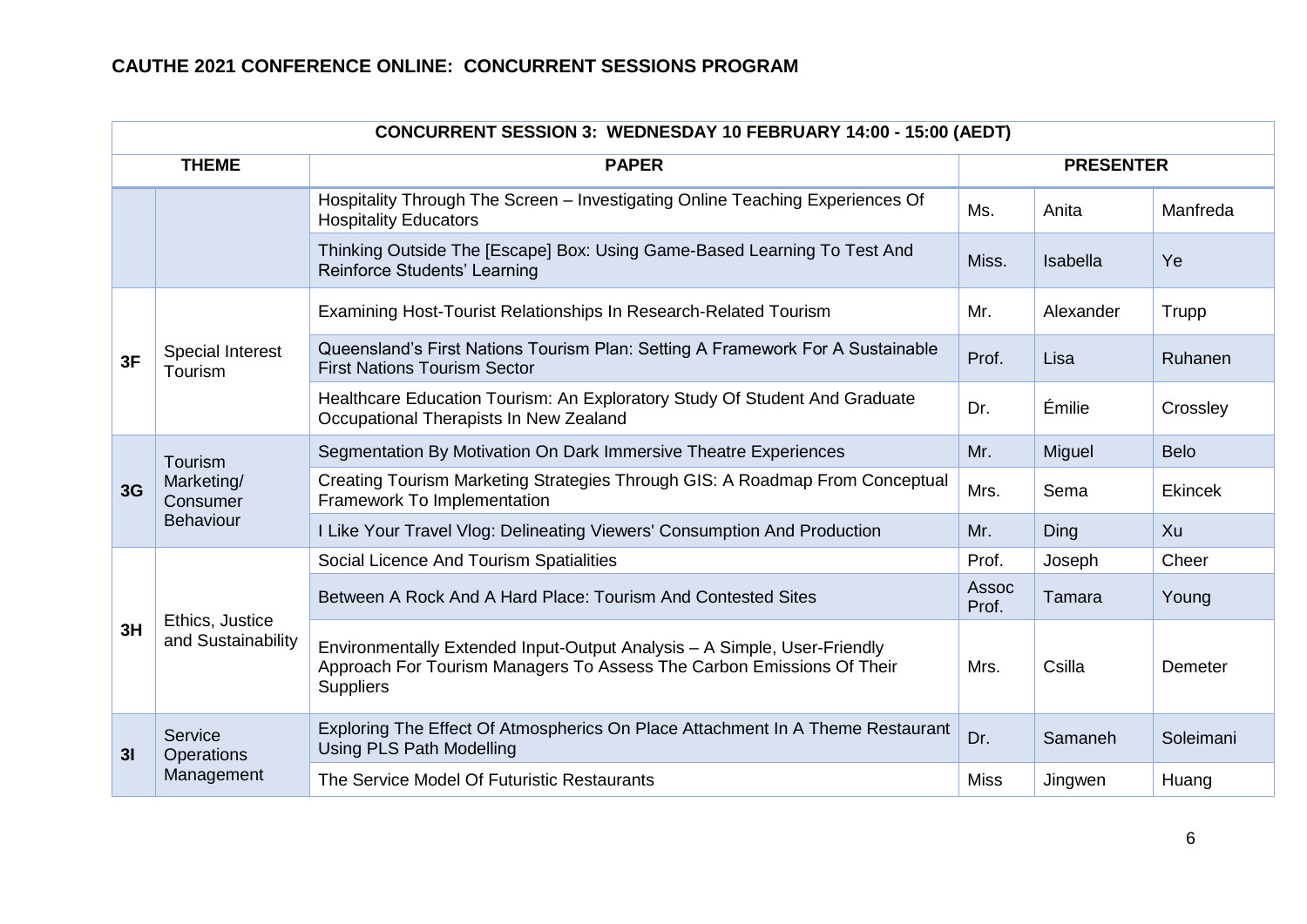| <b>CONCURRENT SESSION 3: WEDNESDAY 10 FEBRUARY 14:00 - 15:00 (AEDT)</b> |                                                       |                                                                                                                                                                       |                |                  |             |  |  |
|-------------------------------------------------------------------------|-------------------------------------------------------|-----------------------------------------------------------------------------------------------------------------------------------------------------------------------|----------------|------------------|-------------|--|--|
|                                                                         | <b>THEME</b>                                          | <b>PAPER</b>                                                                                                                                                          |                | <b>PRESENTER</b> |             |  |  |
|                                                                         |                                                       | Hospitality Through The Screen - Investigating Online Teaching Experiences Of<br><b>Hospitality Educators</b>                                                         | Ms.            | Anita            | Manfreda    |  |  |
|                                                                         |                                                       | Thinking Outside The [Escape] Box: Using Game-Based Learning To Test And<br>Reinforce Students' Learning                                                              | Miss.          | Isabella         | Ye          |  |  |
|                                                                         |                                                       | Examining Host-Tourist Relationships In Research-Related Tourism                                                                                                      | Mr.            | Alexander        | Trupp       |  |  |
| 3F                                                                      | <b>Special Interest</b><br>Tourism                    | Queensland's First Nations Tourism Plan: Setting A Framework For A Sustainable<br><b>First Nations Tourism Sector</b>                                                 | Prof.          | Lisa             | Ruhanen     |  |  |
|                                                                         |                                                       | Healthcare Education Tourism: An Exploratory Study Of Student And Graduate<br>Occupational Therapists In New Zealand                                                  | Dr.            | Émilie           | Crossley    |  |  |
| 3G                                                                      | Tourism<br>Marketing/<br>Consumer<br><b>Behaviour</b> | Segmentation By Motivation On Dark Immersive Theatre Experiences                                                                                                      | Mr.            | Miguel           | <b>Belo</b> |  |  |
|                                                                         |                                                       | Creating Tourism Marketing Strategies Through GIS: A Roadmap From Conceptual<br>Framework To Implementation                                                           | Mrs.           | Sema             | Ekincek     |  |  |
|                                                                         |                                                       | I Like Your Travel Vlog: Delineating Viewers' Consumption And Production                                                                                              | Mr.            | Ding             | Xu          |  |  |
|                                                                         |                                                       | Social Licence And Tourism Spatialities                                                                                                                               | Prof.          | Joseph           | Cheer       |  |  |
|                                                                         |                                                       | Between A Rock And A Hard Place: Tourism And Contested Sites                                                                                                          | Assoc<br>Prof. | Tamara           | Young       |  |  |
| 3H                                                                      | Ethics, Justice<br>and Sustainability                 | Environmentally Extended Input-Output Analysis - A Simple, User-Friendly<br>Approach For Tourism Managers To Assess The Carbon Emissions Of Their<br><b>Suppliers</b> | Mrs.           | Csilla           | Demeter     |  |  |
| 3 <sub>l</sub>                                                          | Service<br>Operations                                 | Exploring The Effect Of Atmospherics On Place Attachment In A Theme Restaurant<br><b>Using PLS Path Modelling</b>                                                     | Dr.            | Samaneh          | Soleimani   |  |  |
|                                                                         | Management                                            | The Service Model Of Futuristic Restaurants                                                                                                                           | <b>Miss</b>    | Jingwen          | Huang       |  |  |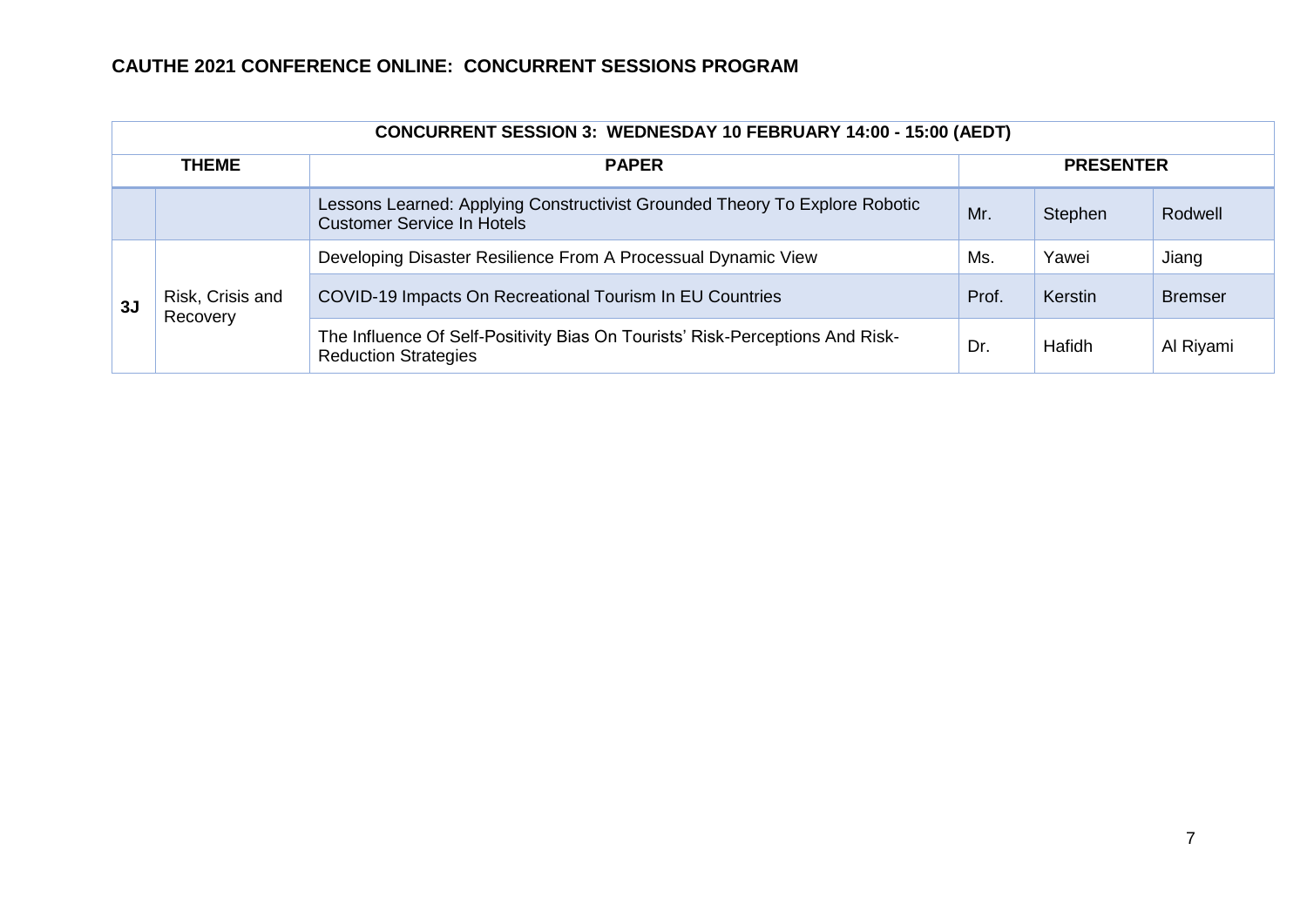|              | <b>CONCURRENT SESSION 3: WEDNESDAY 10 FEBRUARY 14:00 - 15:00 (AEDT)</b> |                                                                                                                  |                  |         |                |  |  |  |  |
|--------------|-------------------------------------------------------------------------|------------------------------------------------------------------------------------------------------------------|------------------|---------|----------------|--|--|--|--|
| <b>THEME</b> |                                                                         | <b>PAPER</b>                                                                                                     | <b>PRESENTER</b> |         |                |  |  |  |  |
|              |                                                                         | Lessons Learned: Applying Constructivist Grounded Theory To Explore Robotic<br><b>Customer Service In Hotels</b> | Mr.              | Stephen | Rodwell        |  |  |  |  |
|              | Risk, Crisis and<br>Recovery                                            | Developing Disaster Resilience From A Processual Dynamic View                                                    | Ms.              | Yawei   | Jiang          |  |  |  |  |
| 3J           |                                                                         | COVID-19 Impacts On Recreational Tourism In EU Countries                                                         | Prof.            | Kerstin | <b>Bremser</b> |  |  |  |  |
|              |                                                                         | The Influence Of Self-Positivity Bias On Tourists' Risk-Perceptions And Risk-<br><b>Reduction Strategies</b>     | Dr.              | Hafidh  | Al Riyami      |  |  |  |  |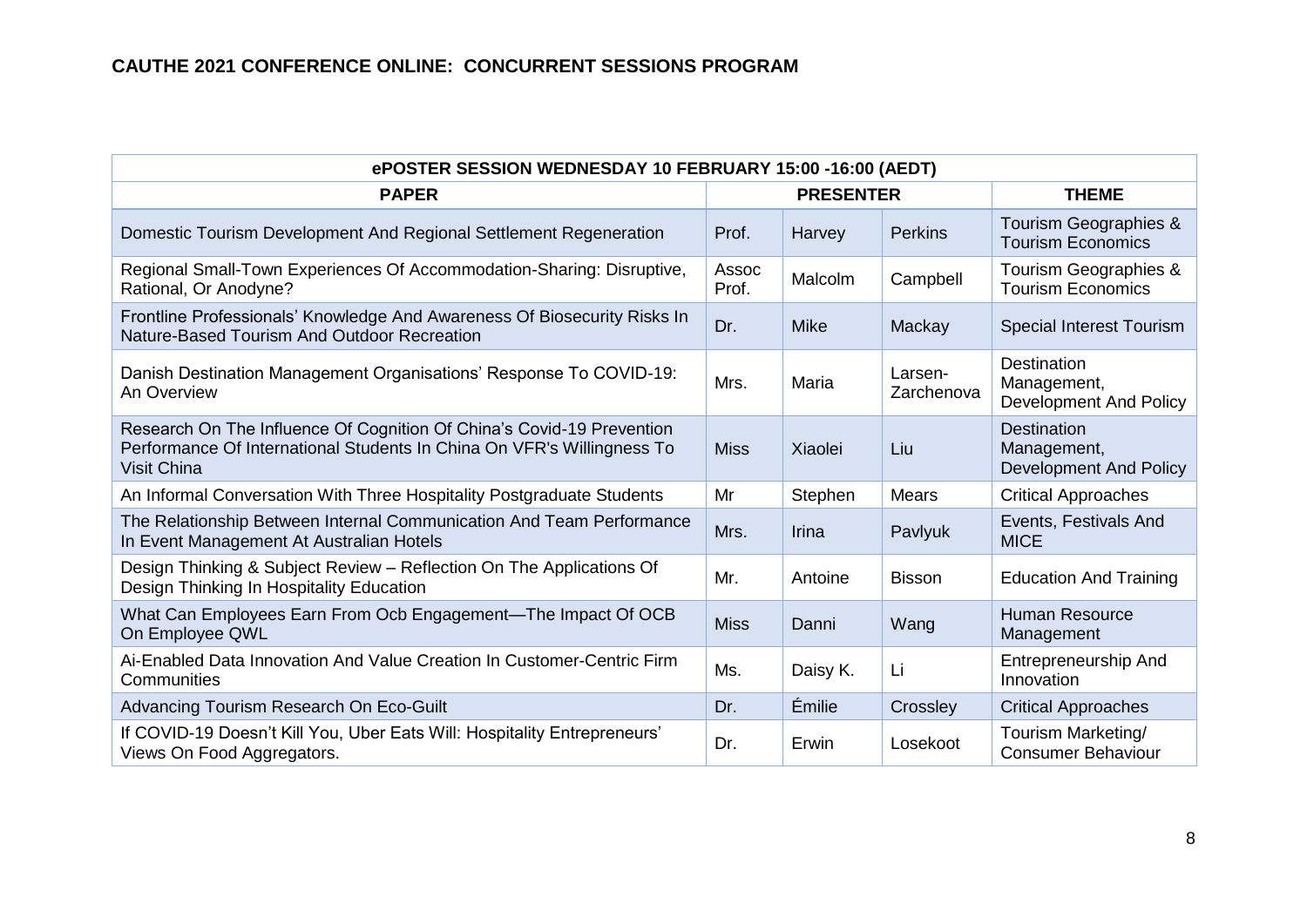| ePOSTER SESSION WEDNESDAY 10 FEBRUARY 15:00 -16:00 (AEDT)                                                                                                             |                |                  |                       |                                                                    |  |  |  |
|-----------------------------------------------------------------------------------------------------------------------------------------------------------------------|----------------|------------------|-----------------------|--------------------------------------------------------------------|--|--|--|
| <b>PAPER</b>                                                                                                                                                          |                | <b>PRESENTER</b> | <b>THEME</b>          |                                                                    |  |  |  |
| Domestic Tourism Development And Regional Settlement Regeneration                                                                                                     | Prof.          | Harvey           | <b>Perkins</b>        | Tourism Geographies &<br><b>Tourism Economics</b>                  |  |  |  |
| Regional Small-Town Experiences Of Accommodation-Sharing: Disruptive,<br>Rational, Or Anodyne?                                                                        | Assoc<br>Prof. | Malcolm          | Campbell              | Tourism Geographies &<br><b>Tourism Economics</b>                  |  |  |  |
| Frontline Professionals' Knowledge And Awareness Of Biosecurity Risks In<br>Nature-Based Tourism And Outdoor Recreation                                               | Dr.            | <b>Mike</b>      | Mackay                | <b>Special Interest Tourism</b>                                    |  |  |  |
| Danish Destination Management Organisations' Response To COVID-19:<br>An Overview                                                                                     | Mrs.           | Maria            | Larsen-<br>Zarchenova | <b>Destination</b><br>Management,<br>Development And Policy        |  |  |  |
| Research On The Influence Of Cognition Of China's Covid-19 Prevention<br>Performance Of International Students In China On VFR's Willingness To<br><b>Visit China</b> | <b>Miss</b>    | Xiaolei          | Liu                   | <b>Destination</b><br>Management,<br><b>Development And Policy</b> |  |  |  |
| An Informal Conversation With Three Hospitality Postgraduate Students                                                                                                 | Mr             | Stephen          | Mears                 | <b>Critical Approaches</b>                                         |  |  |  |
| The Relationship Between Internal Communication And Team Performance<br>In Event Management At Australian Hotels                                                      | Mrs.           | Irina            | Pavlyuk               | Events, Festivals And<br><b>MICE</b>                               |  |  |  |
| Design Thinking & Subject Review - Reflection On The Applications Of<br>Design Thinking In Hospitality Education                                                      | Mr.            | Antoine          | <b>Bisson</b>         | <b>Education And Training</b>                                      |  |  |  |
| What Can Employees Earn From Ocb Engagement—The Impact Of OCB<br>On Employee QWL                                                                                      | <b>Miss</b>    | Danni            | Wang                  | <b>Human Resource</b><br>Management                                |  |  |  |
| Ai-Enabled Data Innovation And Value Creation In Customer-Centric Firm<br>Communities                                                                                 | Ms.            | Daisy K.         | Li                    | <b>Entrepreneurship And</b><br>Innovation                          |  |  |  |
| Advancing Tourism Research On Eco-Guilt                                                                                                                               | Dr.            | Émilie           | Crossley              | <b>Critical Approaches</b>                                         |  |  |  |
| If COVID-19 Doesn't Kill You, Uber Eats Will: Hospitality Entrepreneurs'<br>Views On Food Aggregators.                                                                | Dr.            | Erwin            | Losekoot              | Tourism Marketing/<br><b>Consumer Behaviour</b>                    |  |  |  |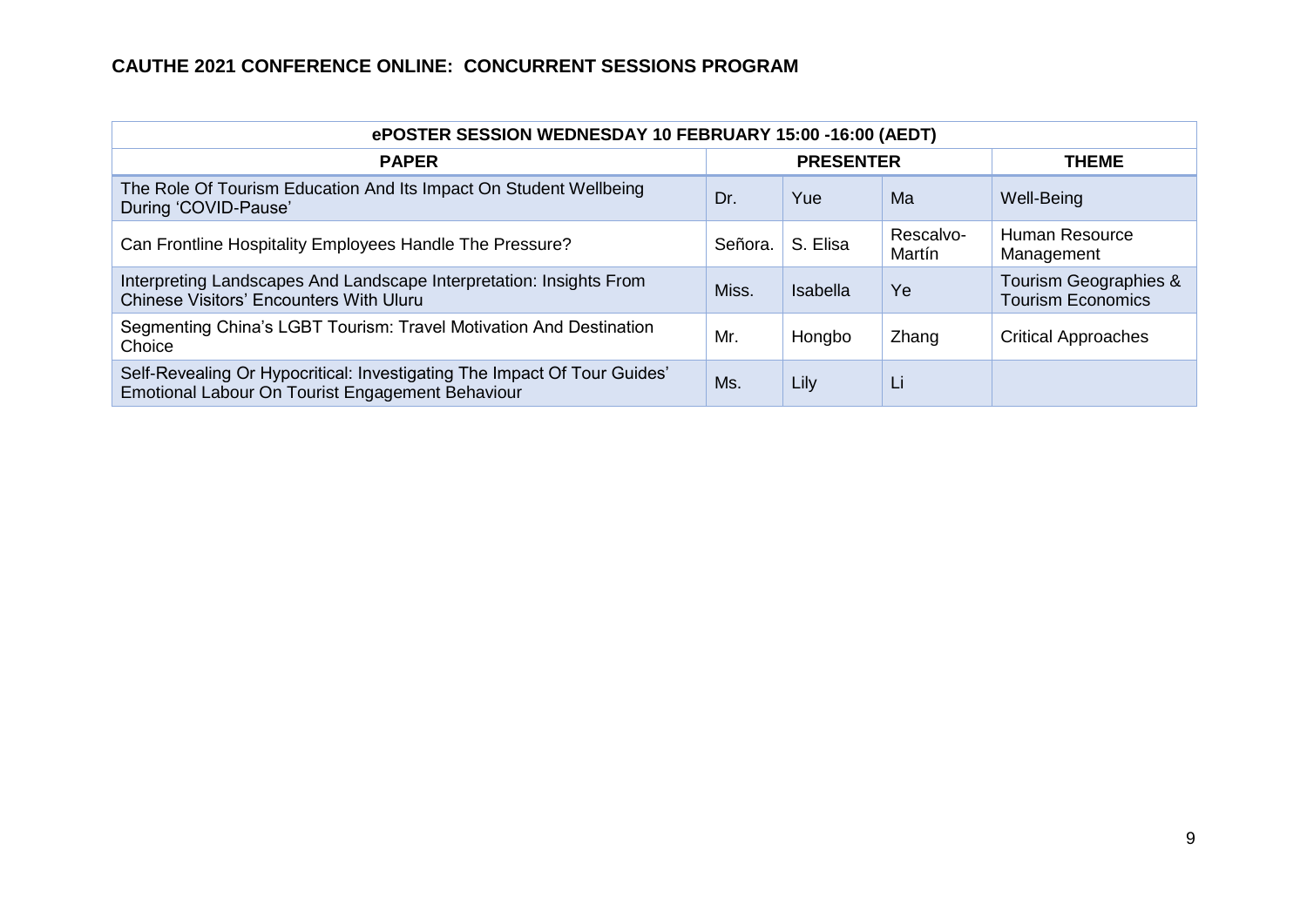| ePOSTER SESSION WEDNESDAY 10 FEBRUARY 15:00 -16:00 (AEDT)                                                                    |                  |          |                     |                                                   |  |  |  |
|------------------------------------------------------------------------------------------------------------------------------|------------------|----------|---------------------|---------------------------------------------------|--|--|--|
| <b>PAPER</b>                                                                                                                 | <b>PRESENTER</b> |          |                     | <b>THEME</b>                                      |  |  |  |
| The Role Of Tourism Education And Its Impact On Student Wellbeing<br>During 'COVID-Pause'                                    | Dr.              | Yue      | Ma                  | Well-Being                                        |  |  |  |
| Can Frontline Hospitality Employees Handle The Pressure?                                                                     | Señora.          | S. Elisa | Rescalvo-<br>Martín | Human Resource<br>Management                      |  |  |  |
| Interpreting Landscapes And Landscape Interpretation: Insights From<br><b>Chinese Visitors' Encounters With Uluru</b>        | Miss.            | Isabella | Ye                  | Tourism Geographies &<br><b>Tourism Economics</b> |  |  |  |
| Segmenting China's LGBT Tourism: Travel Motivation And Destination<br>Choice                                                 | Mr.              | Hongbo   | Zhang               | <b>Critical Approaches</b>                        |  |  |  |
| Self-Revealing Or Hypocritical: Investigating The Impact Of Tour Guides'<br>Emotional Labour On Tourist Engagement Behaviour | Ms.              | Lily     | Li                  |                                                   |  |  |  |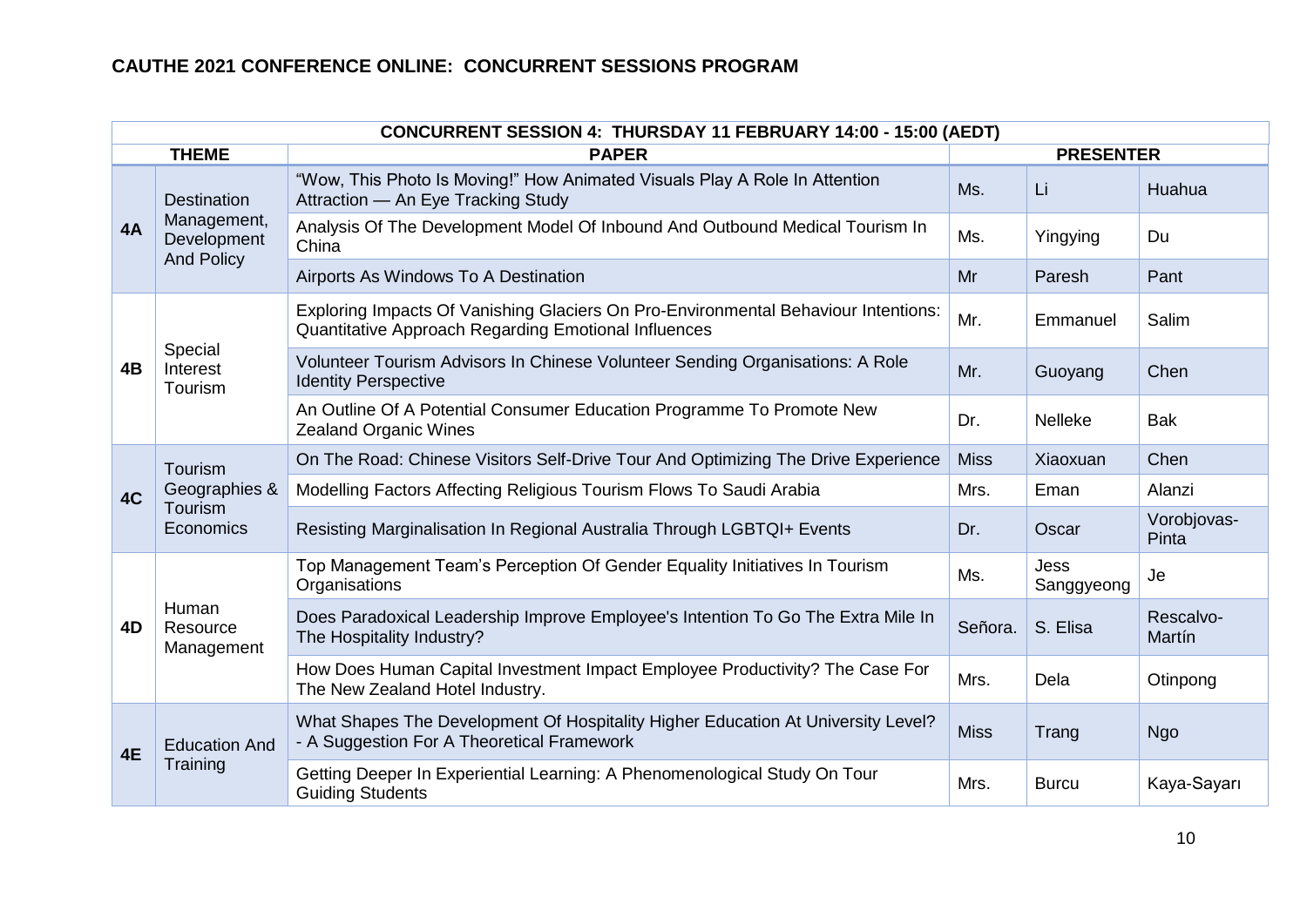| CONCURRENT SESSION 4: THURSDAY 11 FEBRUARY 14:00 - 15:00 (AEDT) |                                                  |                                                                                                                                            |             |                           |                      |  |  |  |
|-----------------------------------------------------------------|--------------------------------------------------|--------------------------------------------------------------------------------------------------------------------------------------------|-------------|---------------------------|----------------------|--|--|--|
|                                                                 | <b>THEME</b>                                     | <b>PAPER</b>                                                                                                                               |             | <b>PRESENTER</b>          |                      |  |  |  |
|                                                                 | <b>Destination</b>                               | "Wow, This Photo Is Moving!" How Animated Visuals Play A Role In Attention<br>Attraction - An Eye Tracking Study                           | Ms.         | Li                        | Huahua               |  |  |  |
| 4A                                                              | Management,<br>Development<br><b>And Policy</b>  | Analysis Of The Development Model Of Inbound And Outbound Medical Tourism In<br>China                                                      | Ms.         | Yingying                  | Du                   |  |  |  |
|                                                                 |                                                  | Airports As Windows To A Destination                                                                                                       | Mr          | Paresh                    | Pant                 |  |  |  |
|                                                                 |                                                  | Exploring Impacts Of Vanishing Glaciers On Pro-Environmental Behaviour Intentions:<br>Quantitative Approach Regarding Emotional Influences | Mr.         | Emmanuel                  | Salim                |  |  |  |
| 4B                                                              | Special<br>Interest<br>Tourism                   | Volunteer Tourism Advisors In Chinese Volunteer Sending Organisations: A Role<br><b>Identity Perspective</b>                               | Mr.         | Guoyang                   | Chen                 |  |  |  |
|                                                                 |                                                  | An Outline Of A Potential Consumer Education Programme To Promote New<br><b>Zealand Organic Wines</b>                                      | Dr.         | Nelleke                   | <b>Bak</b>           |  |  |  |
|                                                                 | Tourism<br>Geographies &<br>Tourism<br>Economics | On The Road: Chinese Visitors Self-Drive Tour And Optimizing The Drive Experience                                                          | <b>Miss</b> | Xiaoxuan                  | Chen                 |  |  |  |
| 4C                                                              |                                                  | Modelling Factors Affecting Religious Tourism Flows To Saudi Arabia                                                                        | Mrs.        | Eman                      | Alanzi               |  |  |  |
|                                                                 |                                                  | Resisting Marginalisation In Regional Australia Through LGBTQI+ Events                                                                     | Dr.         | Oscar                     | Vorobjovas-<br>Pinta |  |  |  |
|                                                                 |                                                  | Top Management Team's Perception Of Gender Equality Initiatives In Tourism<br>Organisations                                                | Ms.         | <b>Jess</b><br>Sanggyeong | Je                   |  |  |  |
| 4D                                                              | Human<br>Resource<br>Management                  | Does Paradoxical Leadership Improve Employee's Intention To Go The Extra Mile In<br>The Hospitality Industry?                              | Señora.     | S. Elisa                  | Rescalvo-<br>Martín  |  |  |  |
|                                                                 |                                                  | How Does Human Capital Investment Impact Employee Productivity? The Case For<br>The New Zealand Hotel Industry.                            | Mrs.        | Dela                      | Otinpong             |  |  |  |
| 4E                                                              | <b>Education And</b>                             | What Shapes The Development Of Hospitality Higher Education At University Level?<br>- A Suggestion For A Theoretical Framework             | <b>Miss</b> | Trang                     | Ngo                  |  |  |  |
|                                                                 | Training                                         | Getting Deeper In Experiential Learning: A Phenomenological Study On Tour<br><b>Guiding Students</b>                                       | Mrs.        | <b>Burcu</b>              | Kaya-Sayarı          |  |  |  |